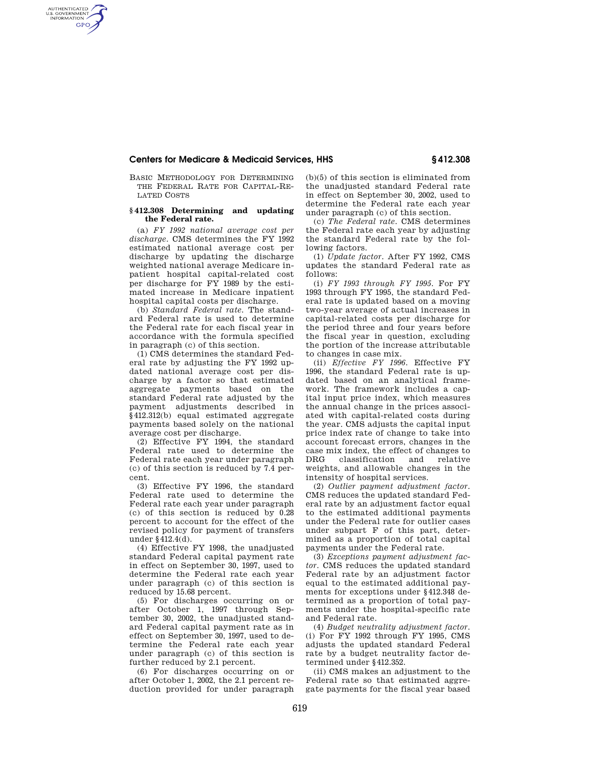# **Centers for Medicare & Medicaid Services, HHS § 412.308**

BASIC METHODOLOGY FOR DETERMINING THE FEDERAL RATE FOR CAPITAL-RE-LATED COSTS

AUTHENTICATED<br>U.S. GOVERNMENT<br>INFORMATION **GPO** 

#### **§ 412.308 Determining and updating the Federal rate.**

(a) *FY 1992 national average cost per discharge.* CMS determines the FY 1992 estimated national average cost per discharge by updating the discharge weighted national average Medicare inpatient hospital capital-related cost per discharge for FY 1989 by the estimated increase in Medicare inpatient hospital capital costs per discharge.

(b) *Standard Federal rate.* The standard Federal rate is used to determine the Federal rate for each fiscal year in accordance with the formula specified in paragraph (c) of this section.

(1) CMS determines the standard Federal rate by adjusting the FY 1992 updated national average cost per discharge by a factor so that estimated aggregate payments based on the standard Federal rate adjusted by the payment adjustments described in §412.312(b) equal estimated aggregate payments based solely on the national average cost per discharge.

(2) Effective FY 1994, the standard Federal rate used to determine the Federal rate each year under paragraph (c) of this section is reduced by 7.4 percent.

(3) Effective FY 1996, the standard Federal rate used to determine the Federal rate each year under paragraph (c) of this section is reduced by 0.28 percent to account for the effect of the revised policy for payment of transfers under §412.4(d).

(4) Effective FY 1998, the unadjusted standard Federal capital payment rate in effect on September 30, 1997, used to determine the Federal rate each year under paragraph (c) of this section is reduced by 15.68 percent.

(5) For discharges occurring on or after October 1, 1997 through September 30, 2002, the unadjusted standard Federal capital payment rate as in effect on September 30, 1997, used to determine the Federal rate each year under paragraph (c) of this section is further reduced by 2.1 percent.

(6) For discharges occurring on or after October 1, 2002, the 2.1 percent reduction provided for under paragraph (b)(5) of this section is eliminated from the unadjusted standard Federal rate in effect on September 30, 2002, used to determine the Federal rate each year under paragraph (c) of this section.

(c) *The Federal rate.* CMS determines the Federal rate each year by adjusting the standard Federal rate by the following factors.

(1) *Update factor.* After FY 1992, CMS updates the standard Federal rate as follows:

(i) *FY 1993 through FY 1995.* For FY 1993 through FY 1995, the standard Federal rate is updated based on a moving two-year average of actual increases in capital-related costs per discharge for the period three and four years before the fiscal year in question, excluding the portion of the increase attributable to changes in case mix.

(ii) *Effective FY 1996.* Effective FY 1996, the standard Federal rate is updated based on an analytical framework. The framework includes a capital input price index, which measures the annual change in the prices associated with capital-related costs during the year. CMS adjusts the capital input price index rate of change to take into account forecast errors, changes in the case mix index, the effect of changes to DRG classification and relative weights, and allowable changes in the intensity of hospital services.

(2) *Outlier payment adjustment factor.*  CMS reduces the updated standard Federal rate by an adjustment factor equal to the estimated additional payments under the Federal rate for outlier cases under subpart F of this part, determined as a proportion of total capital payments under the Federal rate.

(3) *Exceptions payment adjustment factor.* CMS reduces the updated standard Federal rate by an adjustment factor equal to the estimated additional payments for exceptions under §412.348 determined as a proportion of total payments under the hospital-specific rate and Federal rate.

(4) *Budget neutrality adjustment factor.*  (i) For FY 1992 through FY 1995, CMS adjusts the updated standard Federal rate by a budget neutrality factor determined under §412.352.

(ii) CMS makes an adjustment to the Federal rate so that estimated aggregate payments for the fiscal year based